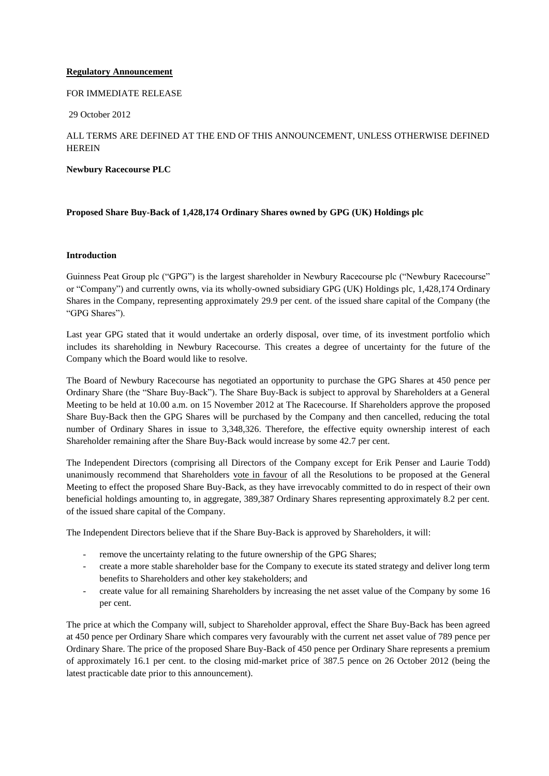## **Regulatory Announcement**

### FOR IMMEDIATE RELEASE

29 October 2012

# ALL TERMS ARE DEFINED AT THE END OF THIS ANNOUNCEMENT, UNLESS OTHERWISE DEFINED HEREIN

### **Newbury Racecourse PLC**

# **Proposed Share Buy-Back of 1,428,174 Ordinary Shares owned by GPG (UK) Holdings plc**

## **Introduction**

Guinness Peat Group plc ("GPG") is the largest shareholder in Newbury Racecourse plc ("Newbury Racecourse" or "Company") and currently owns, via its wholly-owned subsidiary GPG (UK) Holdings plc, 1,428,174 Ordinary Shares in the Company, representing approximately 29.9 per cent. of the issued share capital of the Company (the "GPG Shares").

Last year GPG stated that it would undertake an orderly disposal, over time, of its investment portfolio which includes its shareholding in Newbury Racecourse. This creates a degree of uncertainty for the future of the Company which the Board would like to resolve.

The Board of Newbury Racecourse has negotiated an opportunity to purchase the GPG Shares at 450 pence per Ordinary Share (the "Share Buy-Back"). The Share Buy-Back is subject to approval by Shareholders at a General Meeting to be held at 10.00 a.m. on 15 November 2012 at The Racecourse. If Shareholders approve the proposed Share Buy-Back then the GPG Shares will be purchased by the Company and then cancelled, reducing the total number of Ordinary Shares in issue to 3,348,326. Therefore, the effective equity ownership interest of each Shareholder remaining after the Share Buy-Back would increase by some 42.7 per cent.

The Independent Directors (comprising all Directors of the Company except for Erik Penser and Laurie Todd) unanimously recommend that Shareholders vote in favour of all the Resolutions to be proposed at the General Meeting to effect the proposed Share Buy-Back, as they have irrevocably committed to do in respect of their own beneficial holdings amounting to, in aggregate, 389,387 Ordinary Shares representing approximately 8.2 per cent. of the issued share capital of the Company.

The Independent Directors believe that if the Share Buy-Back is approved by Shareholders, it will:

- remove the uncertainty relating to the future ownership of the GPG Shares;
- create a more stable shareholder base for the Company to execute its stated strategy and deliver long term benefits to Shareholders and other key stakeholders; and
- create value for all remaining Shareholders by increasing the net asset value of the Company by some 16 per cent.

The price at which the Company will, subject to Shareholder approval, effect the Share Buy-Back has been agreed at 450 pence per Ordinary Share which compares very favourably with the current net asset value of 789 pence per Ordinary Share. The price of the proposed Share Buy-Back of 450 pence per Ordinary Share represents a premium of approximately 16.1 per cent. to the closing mid-market price of 387.5 pence on 26 October 2012 (being the latest practicable date prior to this announcement).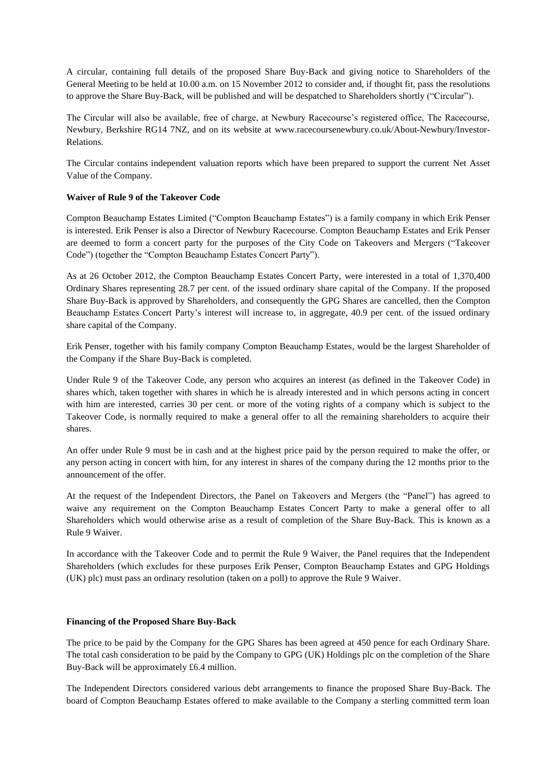A circular, containing full details of the proposed Share Buy-Back and giving notice to Shareholders of the General Meeting to be held at 10.00 a.m. on 15 November 2012 to consider and, if thought fit, pass the resolutions to approve the Share Buy-Back, will be published and will be despatched to Shareholders shortly ("Circular").

The Circular will also be available, free of charge, at Newbury Racecourse's registered office, The Racecourse, Newbury, Berkshire RG14 7NZ, and on its website at www.racecoursenewbury.co.uk/About-Newbury/Investor-Relations.

The Circular contains independent valuation reports which have been prepared to support the current Net Asset Value of the Company.

## **Waiver of Rule 9 of the Takeover Code**

Compton Beauchamp Estates Limited ("Compton Beauchamp Estates") is a family company in which Erik Penser is interested. Erik Penser is also a Director of Newbury Racecourse. Compton Beauchamp Estates and Erik Penser are deemed to form a concert party for the purposes of the City Code on Takeovers and Mergers ("Takeover Code") (together the "Compton Beauchamp Estates Concert Party").

As at 26 October 2012, the Compton Beauchamp Estates Concert Party, were interested in a total of 1,370,400 Ordinary Shares representing 28.7 per cent. of the issued ordinary share capital of the Company. If the proposed Share Buy-Back is approved by Shareholders, and consequently the GPG Shares are cancelled, then the Compton Beauchamp Estates Concert Party's interest will increase to, in aggregate, 40.9 per cent. of the issued ordinary share capital of the Company.

Erik Penser, together with his family company Compton Beauchamp Estates, would be the largest Shareholder of the Company if the Share Buy-Back is completed.

Under Rule 9 of the Takeover Code, any person who acquires an interest (as defined in the Takeover Code) in shares which, taken together with shares in which he is already interested and in which persons acting in concert with him are interested, carries 30 per cent. or more of the voting rights of a company which is subject to the Takeover Code, is normally required to make a general offer to all the remaining shareholders to acquire their shares.

An offer under Rule 9 must be in cash and at the highest price paid by the person required to make the offer, or any person acting in concert with him, for any interest in shares of the company during the 12 months prior to the announcement of the offer.

At the request of the Independent Directors, the Panel on Takeovers and Mergers (the "Panel") has agreed to waive any requirement on the Compton Beauchamp Estates Concert Party to make a general offer to all Shareholders which would otherwise arise as a result of completion of the Share Buy-Back. This is known as a Rule 9 Waiver.

In accordance with the Takeover Code and to permit the Rule 9 Waiver, the Panel requires that the Independent Shareholders (which excludes for these purposes Erik Penser, Compton Beauchamp Estates and GPG Holdings (UK) plc) must pass an ordinary resolution (taken on a poll) to approve the Rule 9 Waiver.

## **Financing of the Proposed Share Buy-Back**

The price to be paid by the Company for the GPG Shares has been agreed at 450 pence for each Ordinary Share. The total cash consideration to be paid by the Company to GPG (UK) Holdings plc on the completion of the Share Buy-Back will be approximately £6.4 million.

The Independent Directors considered various debt arrangements to finance the proposed Share Buy-Back. The board of Compton Beauchamp Estates offered to make available to the Company a sterling committed term loan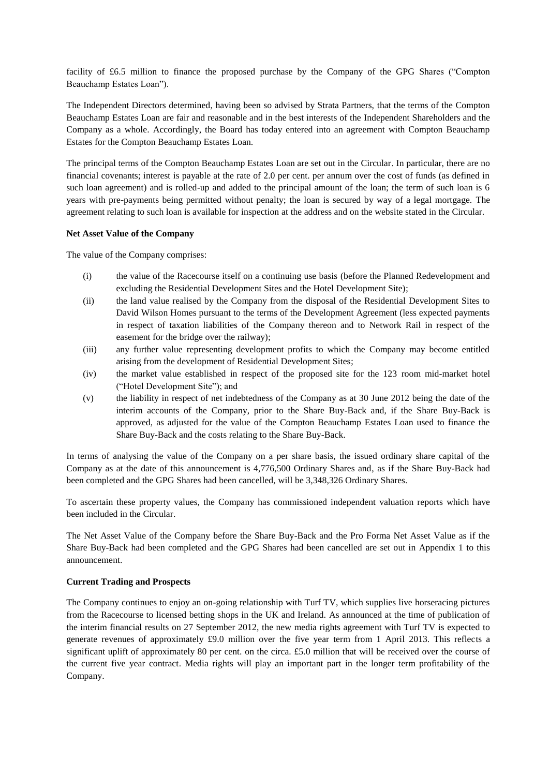facility of £6.5 million to finance the proposed purchase by the Company of the GPG Shares ("Compton Beauchamp Estates Loan").

The Independent Directors determined, having been so advised by Strata Partners, that the terms of the Compton Beauchamp Estates Loan are fair and reasonable and in the best interests of the Independent Shareholders and the Company as a whole. Accordingly, the Board has today entered into an agreement with Compton Beauchamp Estates for the Compton Beauchamp Estates Loan.

The principal terms of the Compton Beauchamp Estates Loan are set out in the Circular. In particular, there are no financial covenants; interest is payable at the rate of 2.0 per cent. per annum over the cost of funds (as defined in such loan agreement) and is rolled-up and added to the principal amount of the loan; the term of such loan is 6 years with pre-payments being permitted without penalty; the loan is secured by way of a legal mortgage. The agreement relating to such loan is available for inspection at the address and on the website stated in the Circular.

### **Net Asset Value of the Company**

The value of the Company comprises:

- (i) the value of the Racecourse itself on a continuing use basis (before the Planned Redevelopment and excluding the Residential Development Sites and the Hotel Development Site);
- (ii) the land value realised by the Company from the disposal of the Residential Development Sites to David Wilson Homes pursuant to the terms of the Development Agreement (less expected payments in respect of taxation liabilities of the Company thereon and to Network Rail in respect of the easement for the bridge over the railway);
- (iii) any further value representing development profits to which the Company may become entitled arising from the development of Residential Development Sites;
- (iv) the market value established in respect of the proposed site for the 123 room mid-market hotel ("Hotel Development Site"); and
- (v) the liability in respect of net indebtedness of the Company as at 30 June 2012 being the date of the interim accounts of the Company, prior to the Share Buy-Back and, if the Share Buy-Back is approved, as adjusted for the value of the Compton Beauchamp Estates Loan used to finance the Share Buy-Back and the costs relating to the Share Buy-Back.

In terms of analysing the value of the Company on a per share basis, the issued ordinary share capital of the Company as at the date of this announcement is 4,776,500 Ordinary Shares and, as if the Share Buy-Back had been completed and the GPG Shares had been cancelled, will be 3,348,326 Ordinary Shares.

To ascertain these property values, the Company has commissioned independent valuation reports which have been included in the Circular.

The Net Asset Value of the Company before the Share Buy-Back and the Pro Forma Net Asset Value as if the Share Buy-Back had been completed and the GPG Shares had been cancelled are set out in Appendix 1 to this announcement.

## **Current Trading and Prospects**

The Company continues to enjoy an on-going relationship with Turf TV, which supplies live horseracing pictures from the Racecourse to licensed betting shops in the UK and Ireland. As announced at the time of publication of the interim financial results on 27 September 2012, the new media rights agreement with Turf TV is expected to generate revenues of approximately £9.0 million over the five year term from 1 April 2013. This reflects a significant uplift of approximately 80 per cent. on the circa. £5.0 million that will be received over the course of the current five year contract. Media rights will play an important part in the longer term profitability of the Company.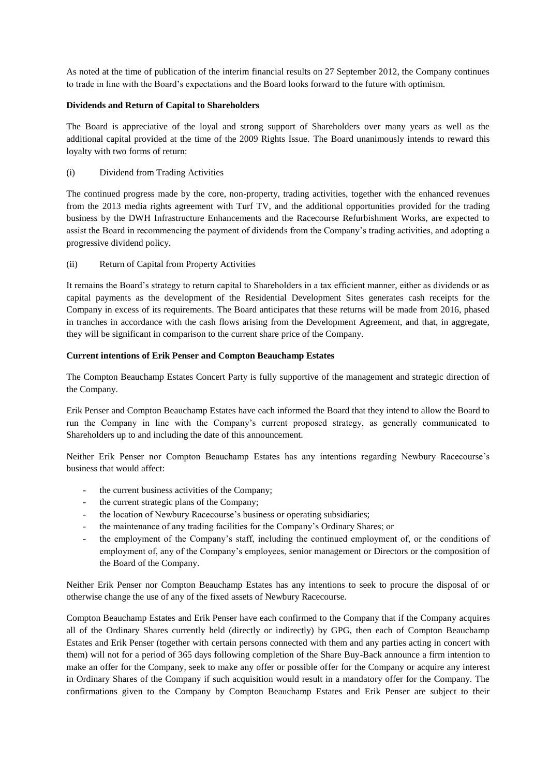As noted at the time of publication of the interim financial results on 27 September 2012, the Company continues to trade in line with the Board's expectations and the Board looks forward to the future with optimism.

## **Dividends and Return of Capital to Shareholders**

The Board is appreciative of the loyal and strong support of Shareholders over many years as well as the additional capital provided at the time of the 2009 Rights Issue. The Board unanimously intends to reward this loyalty with two forms of return:

(i) Dividend from Trading Activities

The continued progress made by the core, non-property, trading activities, together with the enhanced revenues from the 2013 media rights agreement with Turf TV, and the additional opportunities provided for the trading business by the DWH Infrastructure Enhancements and the Racecourse Refurbishment Works, are expected to assist the Board in recommencing the payment of dividends from the Company's trading activities, and adopting a progressive dividend policy.

(ii) Return of Capital from Property Activities

It remains the Board's strategy to return capital to Shareholders in a tax efficient manner, either as dividends or as capital payments as the development of the Residential Development Sites generates cash receipts for the Company in excess of its requirements. The Board anticipates that these returns will be made from 2016, phased in tranches in accordance with the cash flows arising from the Development Agreement, and that, in aggregate, they will be significant in comparison to the current share price of the Company.

## **Current intentions of Erik Penser and Compton Beauchamp Estates**

The Compton Beauchamp Estates Concert Party is fully supportive of the management and strategic direction of the Company.

Erik Penser and Compton Beauchamp Estates have each informed the Board that they intend to allow the Board to run the Company in line with the Company's current proposed strategy, as generally communicated to Shareholders up to and including the date of this announcement.

Neither Erik Penser nor Compton Beauchamp Estates has any intentions regarding Newbury Racecourse's business that would affect:

- the current business activities of the Company;
- the current strategic plans of the Company;
- the location of Newbury Racecourse's business or operating subsidiaries;
- the maintenance of any trading facilities for the Company's Ordinary Shares; or
- the employment of the Company's staff, including the continued employment of, or the conditions of employment of, any of the Company's employees, senior management or Directors or the composition of the Board of the Company.

Neither Erik Penser nor Compton Beauchamp Estates has any intentions to seek to procure the disposal of or otherwise change the use of any of the fixed assets of Newbury Racecourse.

Compton Beauchamp Estates and Erik Penser have each confirmed to the Company that if the Company acquires all of the Ordinary Shares currently held (directly or indirectly) by GPG, then each of Compton Beauchamp Estates and Erik Penser (together with certain persons connected with them and any parties acting in concert with them) will not for a period of 365 days following completion of the Share Buy-Back announce a firm intention to make an offer for the Company, seek to make any offer or possible offer for the Company or acquire any interest in Ordinary Shares of the Company if such acquisition would result in a mandatory offer for the Company. The confirmations given to the Company by Compton Beauchamp Estates and Erik Penser are subject to their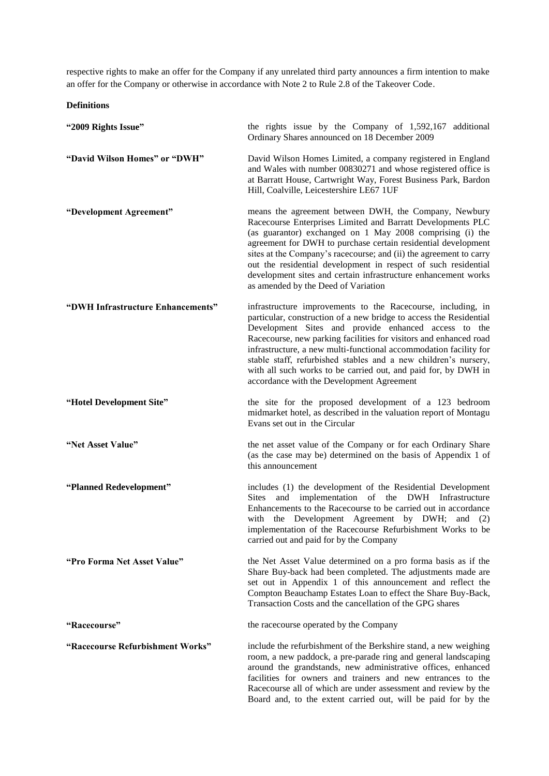respective rights to make an offer for the Company if any unrelated third party announces a firm intention to make an offer for the Company or otherwise in accordance with Note 2 to Rule 2.8 of the Takeover Code.

# **Definitions**

| "2009 Rights Issue"               | the rights issue by the Company of $1,592,167$ additional<br>Ordinary Shares announced on 18 December 2009                                                                                                                                                                                                                                                                                                                                                                                                             |  |
|-----------------------------------|------------------------------------------------------------------------------------------------------------------------------------------------------------------------------------------------------------------------------------------------------------------------------------------------------------------------------------------------------------------------------------------------------------------------------------------------------------------------------------------------------------------------|--|
| "David Wilson Homes" or "DWH"     | David Wilson Homes Limited, a company registered in England<br>and Wales with number 00830271 and whose registered office is<br>at Barratt House, Cartwright Way, Forest Business Park, Bardon<br>Hill, Coalville, Leicestershire LE67 1UF                                                                                                                                                                                                                                                                             |  |
| "Development Agreement"           | means the agreement between DWH, the Company, Newbury<br>Racecourse Enterprises Limited and Barratt Developments PLC<br>(as guarantor) exchanged on 1 May 2008 comprising (i) the<br>agreement for DWH to purchase certain residential development<br>sites at the Company's racecourse; and (ii) the agreement to carry<br>out the residential development in respect of such residential<br>development sites and certain infrastructure enhancement works<br>as amended by the Deed of Variation                    |  |
| "DWH Infrastructure Enhancements" | infrastructure improvements to the Racecourse, including, in<br>particular, construction of a new bridge to access the Residential<br>Development Sites and provide enhanced access to the<br>Racecourse, new parking facilities for visitors and enhanced road<br>infrastructure, a new multi-functional accommodation facility for<br>stable staff, refurbished stables and a new children's nursery,<br>with all such works to be carried out, and paid for, by DWH in<br>accordance with the Development Agreement |  |
| "Hotel Development Site"          | the site for the proposed development of a 123 bedroom<br>midmarket hotel, as described in the valuation report of Montagu<br>Evans set out in the Circular                                                                                                                                                                                                                                                                                                                                                            |  |
| "Net Asset Value"                 | the net asset value of the Company or for each Ordinary Share<br>(as the case may be) determined on the basis of Appendix 1 of<br>this announcement                                                                                                                                                                                                                                                                                                                                                                    |  |
| "Planned Redevelopment"           | includes (1) the development of the Residential Development<br>and implementation of the<br><b>Sites</b><br>DWH Infrastructure<br>Enhancements to the Racecourse to be carried out in accordance<br>the Development Agreement by DWH; and (2)<br>with<br>implementation of the Racecourse Refurbishment Works to be<br>carried out and paid for by the Company                                                                                                                                                         |  |
| "Pro Forma Net Asset Value"       | the Net Asset Value determined on a pro forma basis as if the<br>Share Buy-back had been completed. The adjustments made are<br>set out in Appendix 1 of this announcement and reflect the<br>Compton Beauchamp Estates Loan to effect the Share Buy-Back,<br>Transaction Costs and the cancellation of the GPG shares                                                                                                                                                                                                 |  |
| "Racecourse"                      | the racecourse operated by the Company                                                                                                                                                                                                                                                                                                                                                                                                                                                                                 |  |
| "Racecourse Refurbishment Works"  | include the refurbishment of the Berkshire stand, a new weighing<br>room, a new paddock, a pre-parade ring and general landscaping<br>around the grandstands, new administrative offices, enhanced<br>facilities for owners and trainers and new entrances to the<br>Racecourse all of which are under assessment and review by the<br>Board and, to the extent carried out, will be paid for by the                                                                                                                   |  |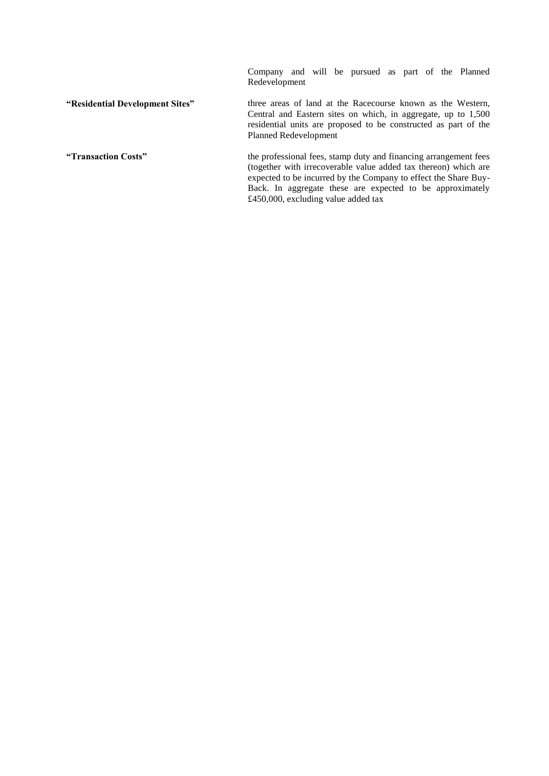Company and will be pursued as part of the Planned Redevelopment **"Residential Development Sites"** three areas of land at the Racecourse known as the Western, Central and Eastern sites on which, in aggregate, up to 1,500 residential units are proposed to be constructed as part of the Planned Redevelopment **"Transaction Costs"** the professional fees, stamp duty and financing arrangement fees (together with irrecoverable value added tax thereon) which are expected to be incurred by the Company to effect the Share Buy-Back. In aggregate these are expected to be approximately £450,000, excluding value added tax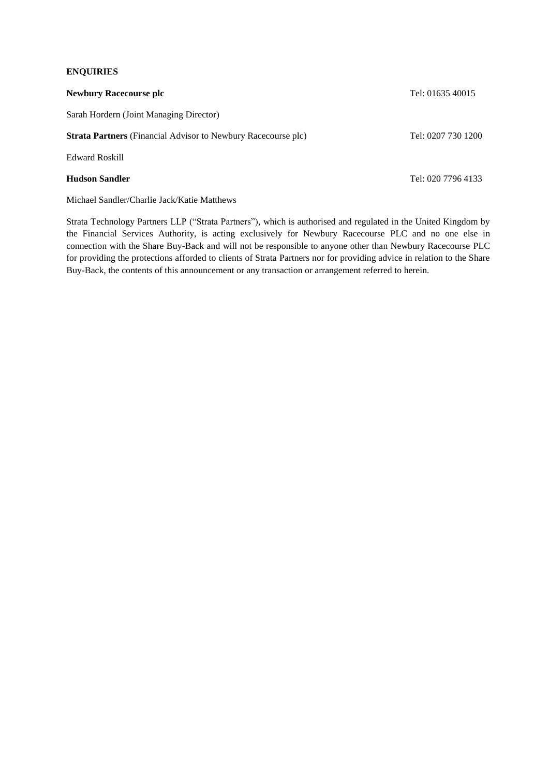## **ENQUIRIES**

| <b>Newbury Racecourse plc</b>                                        | Tel: 01635 40015   |
|----------------------------------------------------------------------|--------------------|
| Sarah Hordern (Joint Managing Director)                              |                    |
| <b>Strata Partners</b> (Financial Advisor to Newbury Racecourse plc) | Tel: 0207 730 1200 |
| Edward Roskill                                                       |                    |
| <b>Hudson Sandler</b>                                                | Tel: 020 7796 4133 |

Michael Sandler/Charlie Jack/Katie Matthews

Strata Technology Partners LLP ("Strata Partners"), which is authorised and regulated in the United Kingdom by the Financial Services Authority, is acting exclusively for Newbury Racecourse PLC and no one else in connection with the Share Buy-Back and will not be responsible to anyone other than Newbury Racecourse PLC for providing the protections afforded to clients of Strata Partners nor for providing advice in relation to the Share Buy-Back, the contents of this announcement or any transaction or arrangement referred to herein.